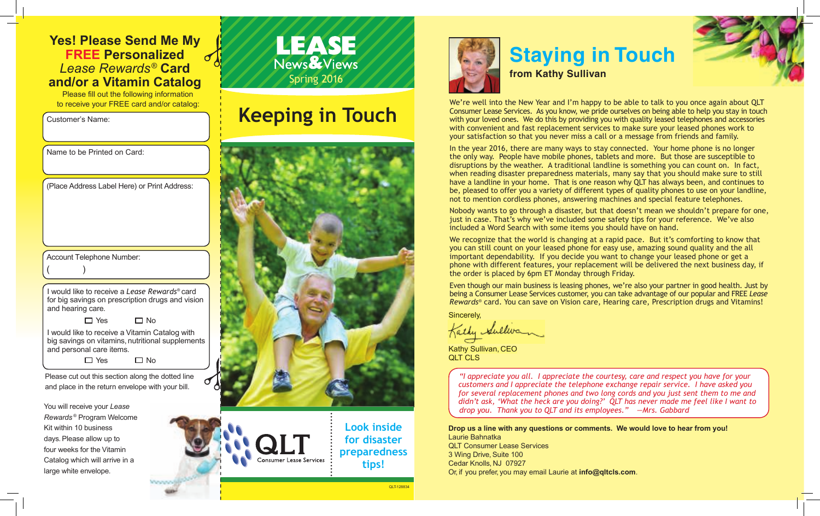#### **Yes! Please Send Me My FREE Personalized** *Lease Rewards®*  **Card and/or a Vitamin Catalog**

Please fill out the following information to receive your FREE card and/or catalog:

Customer's Name:

large white envelope.

| Name to be Printed on Card:                                                                                                    |
|--------------------------------------------------------------------------------------------------------------------------------|
| (Place Address Label Here) or Print Address:                                                                                   |
|                                                                                                                                |
|                                                                                                                                |
| <b>Account Telephone Number:</b>                                                                                               |
|                                                                                                                                |
|                                                                                                                                |
| I would like to receive a Lease Rewards® card<br>for big savings on prescription drugs and vision<br>and hearing care.         |
| $\Box$ Yes<br>⊐ No                                                                                                             |
| I would like to receive a Vitamin Catalog with<br>big savings on vitamins, nutritional supplements<br>and personal care items. |
| ∃ Yes<br>⊐ No                                                                                                                  |
| Please cut out this section along the dotted line                                                                              |
| and place in the return envelope with your bill.                                                                               |
| You will receive your Lease                                                                                                    |
| Rewards <sup>®</sup> Program Welcome                                                                                           |
| Kit within 10 business                                                                                                         |
| days. Please allow up to                                                                                                       |
| four weeks for the Vitamin                                                                                                     |
| Catalog which will arrive in a                                                                                                 |

Worldware

### LEASE News & Views Spring 2016

# **Keeping in Touch**



**Consumer Lease Services** 

**Look inside for disaster preparedness tips!**

QLT-128834



# **Staying in Touch**

**from Kathy Sullivan**

We're well into the New Year and I'm happy to be able to talk to you once again about QLT Consumer Lease Services. As you know, we pride ourselves on being able to help you stay in touch with your loved ones. We do this by providing you with quality leased telephones and accessories with convenient and fast replacement services to make sure your leased phones work to your satisfaction so that you never miss a call or a message from friends and family.

In the year 2016, there are many ways to stay connected. Your home phone is no longer the only way. People have mobile phones, tablets and more. But those are susceptible to disruptions by the weather. A traditional landline is something you can count on. In fact, when reading disaster preparedness materials, many say that you should make sure to still have a landline in your home. That is one reason why QLT has always been, and continues to be, pleased to offer you a variety of different types of quality phones to use on your landline, not to mention cordless phones, answering machines and special feature telephones.

Nobody wants to go through a disaster, but that doesn't mean we shouldn't prepare for one, just in case. That's why we've included some safety tips for your reference. We've also included a Word Search with some items you should have on hand.

We recognize that the world is changing at a rapid pace. But it's comforting to know that you can still count on your leased phone for easy use, amazing sound quality and the all important dependability. If you decide you want to change your leased phone or get a phone with different features, your replacement will be delivered the next business day, if the order is placed by 6pm ET Monday through Friday.

Even though our main business is leasing phones, we're also your partner in good health. Just by being a Consumer Lease Services customer, you can take advantage of our popular and FREE *Lease Rewards®* card. You can save on Vision care, Hearing care, Prescription drugs and Vitamins!

Sincerely,

Kathy Sullivan

Kathy Sullivan, CEO QLT CLS

> *"I appreciate you all. I appreciate the courtesy, care and respect you have for your customers and I appreciate the telephone exchange repair service. I have asked you for several replacement phones and two long cords and you just sent them to me and didn't ask, 'What the heck are you doing?' QLT has never made me feel like I want to drop you. Thank you to QLT and its employees." —Mrs. Gabbard*

**Drop us a line with any questions or comments. We would love to hear from you!** Laurie Bahnatka QLT Consumer Lease Services 3 Wing Drive, Suite 100 Cedar Knolls, NJ 07927

Or, if you prefer, you may email Laurie at **info@qltcls.com**.